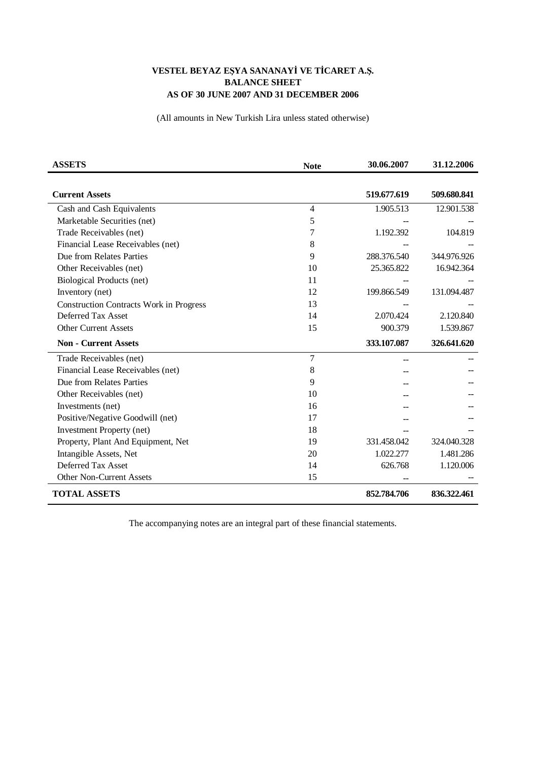## VESTEL BEYAZ EŞYA SANANAYİ VE TİCARET A.Ş. **BALANCE SHEET** AS OF 30 JUNE 2007 AND 31 DECEMBER 2006

(All amounts in New Turkish Lira unless stated otherwise)

| <b>ASSETS</b>                                  | <b>Note</b> | 30.06.2007  | 31.12.2006  |
|------------------------------------------------|-------------|-------------|-------------|
|                                                |             |             |             |
| <b>Current Assets</b>                          |             | 519.677.619 | 509.680.841 |
| Cash and Cash Equivalents                      | 4           | 1.905.513   | 12.901.538  |
| Marketable Securities (net)                    | 5           |             |             |
| Trade Receivables (net)                        | 7           | 1.192.392   | 104.819     |
| Financial Lease Receivables (net)              | 8           |             |             |
| Due from Relates Parties                       | 9           | 288.376.540 | 344.976.926 |
| Other Receivables (net)                        | 10          | 25.365.822  | 16.942.364  |
| Biological Products (net)                      | 11          |             |             |
| Inventory (net)                                | 12          | 199.866.549 | 131.094.487 |
| <b>Construction Contracts Work in Progress</b> | 13          |             |             |
| Deferred Tax Asset                             | 14          | 2.070.424   | 2.120.840   |
| <b>Other Current Assets</b>                    | 15          | 900.379     | 1.539.867   |
| <b>Non - Current Assets</b>                    |             | 333.107.087 | 326.641.620 |
| Trade Receivables (net)                        | 7           |             |             |
| Financial Lease Receivables (net)              | 8           |             |             |
| Due from Relates Parties                       | 9           |             |             |
| Other Receivables (net)                        | 10          |             |             |
| Investments (net)                              | 16          |             |             |
| Positive/Negative Goodwill (net)               | 17          |             |             |
| <b>Investment Property (net)</b>               | 18          |             |             |
| Property, Plant And Equipment, Net             | 19          | 331.458.042 | 324.040.328 |
| Intangible Assets, Net                         | 20          | 1.022.277   | 1.481.286   |
| Deferred Tax Asset                             | 14          | 626.768     | 1.120.006   |
| <b>Other Non-Current Assets</b>                | 15          |             |             |
| <b>TOTAL ASSETS</b>                            |             | 852.784.706 | 836.322.461 |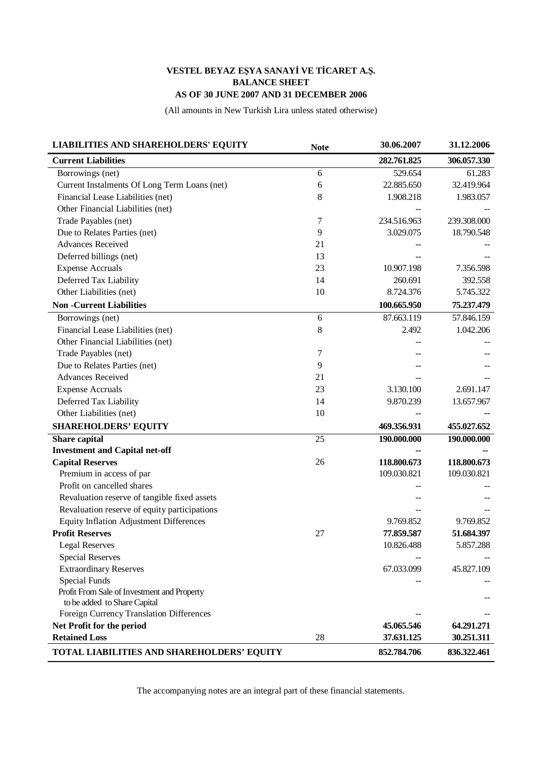## VESTEL BEYAZ EŞYA SANAYİ VE TİCARET A.Ş. **BALANCE SHEET** AS OF 30 JUNE 2007 AND 31 DECEMBER 2006

(All amounts in New Turkish Lira unless stated otherwise)

| <b>LIABILITIES AND SHAREHOLDERS' EQUITY</b>    | <b>Note</b> | 30.06.2007  | 31.12.2006  |
|------------------------------------------------|-------------|-------------|-------------|
| <b>Current Liabilities</b>                     |             | 282.761.825 | 306.057.330 |
| Borrowings (net)                               | 6           | 529.654     | 61.283      |
| Current Instalments Of Long Term Loans (net)   | 6           | 22.885.650  | 32.419.964  |
| Financial Lease Liabilities (net)              | 8           | 1.908.218   | 1.983.057   |
| Other Financial Liabilities (net)              |             |             |             |
| Trade Payables (net)                           | 7           | 234.516.963 | 239.308.000 |
| Due to Relates Parties (net)                   | 9           | 3.029.075   | 18.790.548  |
| <b>Advances Received</b>                       | 21          |             |             |
| Deferred billings (net)                        | 13          |             |             |
| <b>Expense Accruals</b>                        | 23          | 10.907.198  | 7.356.598   |
| Deferred Tax Liability                         | 14          | 260.691     | 392.558     |
| Other Liabilities (net)                        | 10          | 8.724.376   | 5.745.322   |
| <b>Non-Current Liabilities</b>                 |             | 100.665.950 | 75.237.479  |
| Borrowings (net)                               | 6           | 87.663.119  | 57.846.159  |
| Financial Lease Liabilities (net)              | $\,8\,$     | 2.492       | 1.042.206   |
| Other Financial Liabilities (net)              |             |             |             |
| Trade Payables (net)                           | 7           |             |             |
| Due to Relates Parties (net)                   | 9           |             |             |
| <b>Advances Received</b>                       | 21          |             |             |
| <b>Expense Accruals</b>                        | 23          | 3.130.100   | 2.691.147   |
| Deferred Tax Liability                         | 14          | 9.870.239   | 13.657.967  |
| Other Liabilities (net)                        | 10          |             |             |
| <b>SHAREHOLDERS' EQUITY</b>                    |             | 469.356.931 | 455.027.652 |
| <b>Share</b> capital                           | 25          | 190.000.000 | 190.000.000 |
| <b>Investment and Capital net-off</b>          |             |             |             |
| <b>Capital Reserves</b>                        | 26          | 118.800.673 | 118.800.673 |
| Premium in access of par                       |             | 109.030.821 | 109.030.821 |
| Profit on cancelled shares                     |             |             |             |
| Revaluation reserve of tangible fixed assets   |             |             |             |
| Revaluation reserve of equity participations   |             |             |             |
| <b>Equity Inflation Adjustment Differences</b> |             | 9.769.852   | 9.769.852   |
| <b>Profit Reserves</b>                         | 27          | 77.859.587  | 51.684.397  |
| <b>Legal Reserves</b>                          |             | 10.826.488  | 5.857.288   |
| <b>Special Reserves</b>                        |             |             |             |
| <b>Extraordinary Reserves</b>                  |             | 67.033.099  | 45.827.109  |
| Special Funds                                  |             |             |             |
| Profit From Sale of Investment and Property    |             |             |             |
| to be added to Share Capital                   |             |             |             |
| Foreign Currency Translation Differences       |             |             |             |
| Net Profit for the period                      |             | 45.065.546  | 64.291.271  |
| <b>Retained Loss</b>                           | 28          | 37.631.125  | 30.251.311  |
| TOTAL LIABILITIES AND SHAREHOLDERS' EQUITY     |             | 852.784.706 | 836.322.461 |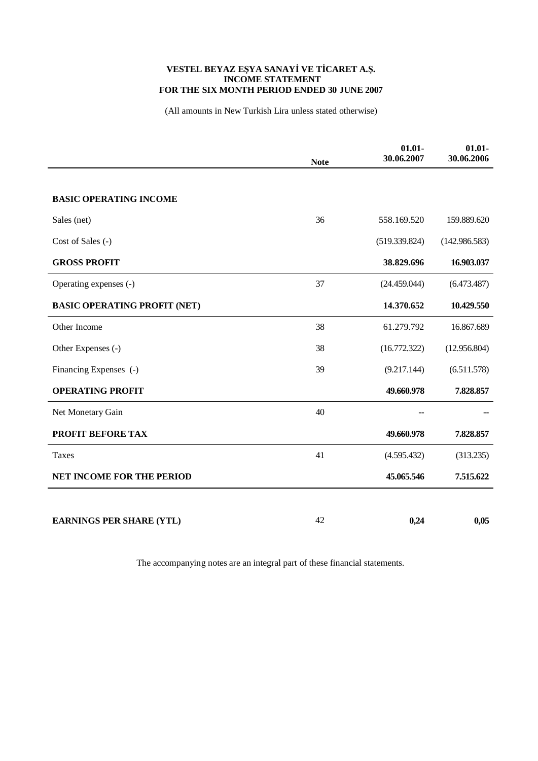## VESTEL BEYAZ EŞYA SANAYİ VE TİCARET A.Ş.<br>INCOME STATEMENT FOR THE SIX MONTH PERIOD ENDED 30 JUNE 2007

(All amounts in New Turkish Lira unless stated otherwise)

|                                     | <b>Note</b> | $01.01 -$<br>30.06.2007 | $01.01 -$<br>30.06.2006 |
|-------------------------------------|-------------|-------------------------|-------------------------|
|                                     |             |                         |                         |
| <b>BASIC OPERATING INCOME</b>       |             |                         |                         |
| Sales (net)                         | 36          | 558.169.520             | 159.889.620             |
| Cost of Sales (-)                   |             | (519.339.824)           | (142.986.583)           |
| <b>GROSS PROFIT</b>                 |             | 38.829.696              | 16.903.037              |
| Operating expenses (-)              | 37          | (24.459.044)            | (6.473.487)             |
| <b>BASIC OPERATING PROFIT (NET)</b> |             | 14.370.652              | 10.429.550              |
| Other Income                        | 38          | 61.279.792              | 16.867.689              |
| Other Expenses (-)                  | 38          | (16.772.322)            | (12.956.804)            |
| Financing Expenses (-)              | 39          | (9.217.144)             | (6.511.578)             |
| <b>OPERATING PROFIT</b>             |             | 49.660.978              | 7.828.857               |
| Net Monetary Gain                   | 40          |                         |                         |
| PROFIT BEFORE TAX                   |             | 49.660.978              | 7.828.857               |
| <b>Taxes</b>                        | 41          | (4.595.432)             | (313.235)               |
| <b>NET INCOME FOR THE PERIOD</b>    |             | 45.065.546              | 7.515.622               |
|                                     |             |                         |                         |
| <b>EARNINGS PER SHARE (YTL)</b>     | 42          | 0,24                    | 0,05                    |